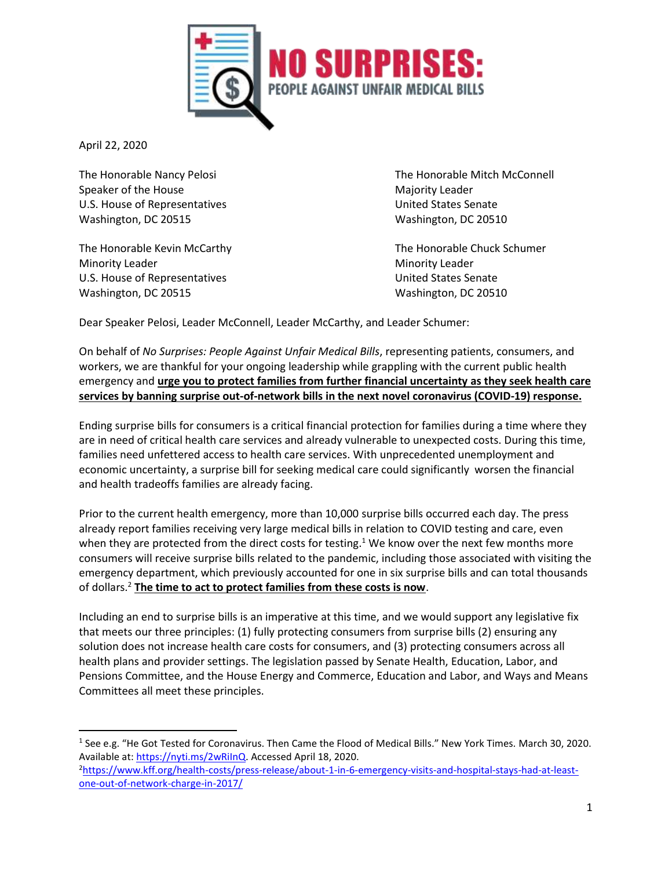

April 22, 2020

l

Speaker of the House Majority Leader Majority Leader U.S. House of Representatives and the United States Senate Washington, DC 20515 Washington, DC 20510

Minority Leader **Minority Leader** Minority Leader U.S. House of Representatives and the United States Senate Washington, DC 20515 Washington, DC 20510

The Honorable Nancy Pelosi **The Honorable Mitch McConnell** 

The Honorable Kevin McCarthy The Honorable Chuck Schumer

Dear Speaker Pelosi, Leader McConnell, Leader McCarthy, and Leader Schumer:

On behalf of *No Surprises: People Against Unfair Medical Bills*, representing patients, consumers, and workers, we are thankful for your ongoing leadership while grappling with the current public health emergency and **urge you to protect families from further financial uncertainty as they seek health care services by banning surprise out-of-network bills in the next novel coronavirus (COVID-19) response.**

Ending surprise bills for consumers is a critical financial protection for families during a time where they are in need of critical health care services and already vulnerable to unexpected costs. During this time, families need unfettered access to health care services. With unprecedented unemployment and economic uncertainty, a surprise bill for seeking medical care could significantly worsen the financial and health tradeoffs families are already facing.

Prior to the current health emergency, more than 10,000 surprise bills occurred each day. The press already report families receiving very large medical bills in relation to COVID testing and care, even when they are protected from the direct costs for testing.<sup>1</sup> We know over the next few months more consumers will receive surprise bills related to the pandemic, including those associated with visiting the emergency department, which previously accounted for one in six surprise bills and can total thousands of dollars. <sup>2</sup> **The time to act to protect families from these costs is now**.

Including an end to surprise bills is an imperative at this time, and we would support any legislative fix that meets our three principles: (1) fully protecting consumers from surprise bills (2) ensuring any solution does not increase health care costs for consumers, and (3) protecting consumers across all health plans and provider settings. The legislation passed by Senate Health, Education, Labor, and Pensions Committee, and the House Energy and Commerce, Education and Labor, and Ways and Means Committees all meet these principles.

<sup>&</sup>lt;sup>1</sup> See e.g. "He Got Tested for Coronavirus. Then Came the Flood of Medical Bills." New York Times. March 30, 2020. Available at: [https://nyti.ms/2wRiInQ.](https://nyti.ms/2wRiInQ) Accessed April 18, 2020.

<sup>2</sup>[https://www.kff.org/health-costs/press-release/about-1-in-6-emergency-visits-and-hospital-stays-had-at-least](https://www.kff.org/health-costs/press-release/about-1-in-6-emergency-visits-and-hospital-stays-had-at-least-one-out-of-network-charge-in-2017/)[one-out-of-network-charge-in-2017/](https://www.kff.org/health-costs/press-release/about-1-in-6-emergency-visits-and-hospital-stays-had-at-least-one-out-of-network-charge-in-2017/)